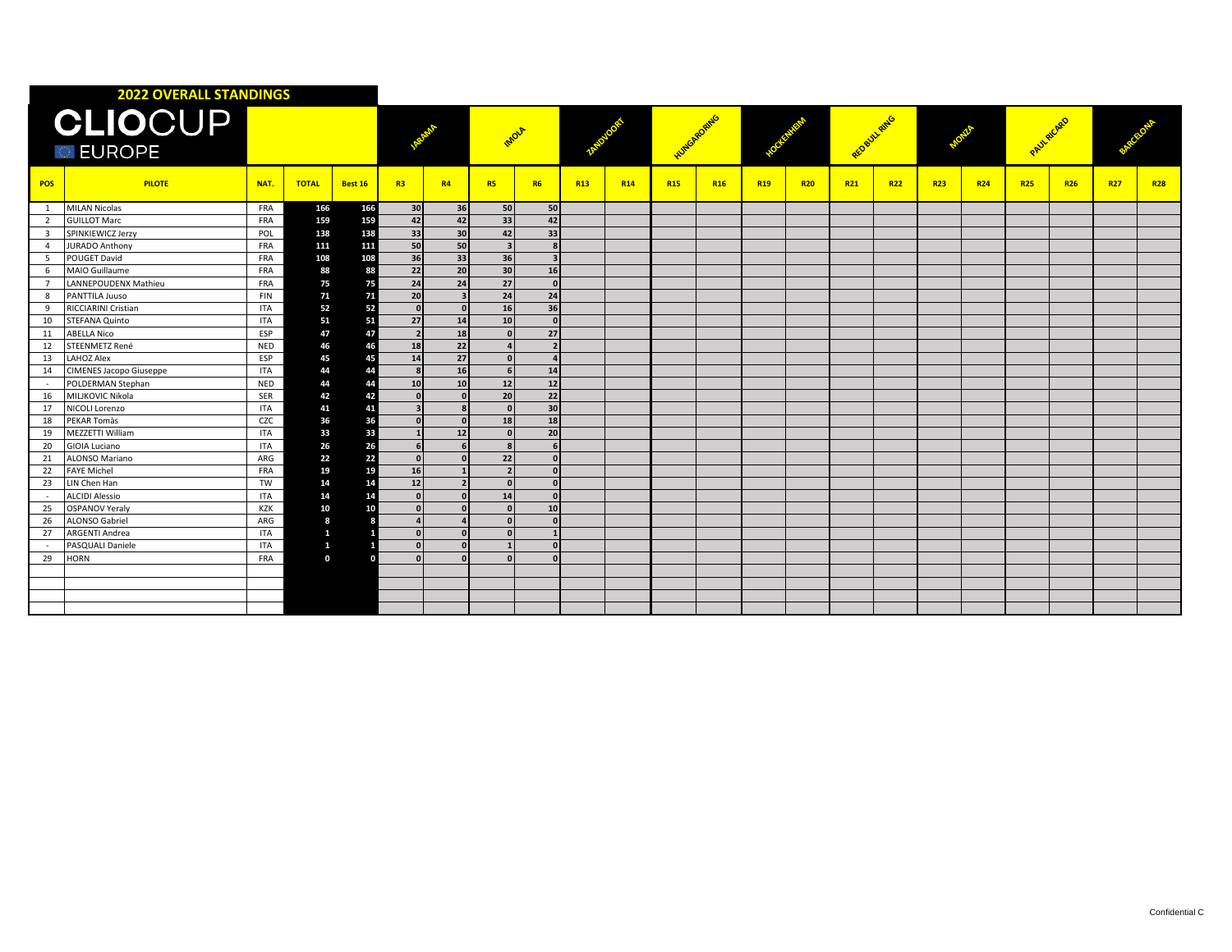| <b>2022 OVERALL STANDINGS</b>    |                         |            |              |                |                          |                |                          |           |                 |                 |                |            |            |            |              |            |            |            |            |            |            |            |
|----------------------------------|-------------------------|------------|--------------|----------------|--------------------------|----------------|--------------------------|-----------|-----------------|-----------------|----------------|------------|------------|------------|--------------|------------|------------|------------|------------|------------|------------|------------|
| <b>CLIOCUP</b><br><b>DEUROPE</b> |                         |            |              |                |                          |                | mole                     |           |                 |                 | <b>Humbled</b> |            |            |            | RED BUILTING |            |            |            | PAULAICARD |            |            |            |
| <b>POS</b>                       | <b>PILOTE</b>           | NAT.       | <b>TOTAL</b> | <b>Best 16</b> | R3                       | R4             | <b>R5</b>                | <b>R6</b> | R <sub>13</sub> | R <sub>14</sub> | <b>R15</b>     | <b>R16</b> | <b>R19</b> | <b>R20</b> | R21          | <b>R22</b> | <b>R23</b> | <b>R24</b> | <b>R25</b> | <b>R26</b> | <b>R27</b> | <b>R28</b> |
| 1                                | <b>MILAN Nicolas</b>    | FRA        | 166          | 166            | 30 <sup>1</sup>          | 36             | 50                       | 50        |                 |                 |                |            |            |            |              |            |            |            |            |            |            |            |
| 2                                | <b>GUILLOT Marc</b>     | <b>FRA</b> | 159          | 159            | 42                       | 42             | 33                       | 42        |                 |                 |                |            |            |            |              |            |            |            |            |            |            |            |
| $\overline{\mathbf{3}}$          | SPINKIEWICZ Jerzy       | POL        | 138          | 138            | 33                       | 30             | 42                       | 33        |                 |                 |                |            |            |            |              |            |            |            |            |            |            |            |
| $\overline{4}$                   | <b>JURADO Anthony</b>   | <b>FRA</b> | 111          | 111            | 50                       | 50             | $\overline{\mathbf{3}}$  |           |                 |                 |                |            |            |            |              |            |            |            |            |            |            |            |
| -5                               | POUGET David            | FRA        | 108          | 108            | 36                       | 33             | 36                       |           |                 |                 |                |            |            |            |              |            |            |            |            |            |            |            |
| 6                                | MAIO Guillaume          | FRA        | 88           | 88             | 22                       | 20             | 30 <sup>1</sup>          | 16        |                 |                 |                |            |            |            |              |            |            |            |            |            |            |            |
| $\overline{7}$                   | LANNEPOUDENX Mathieu    | FRA        | 75           | 75             | 24                       | 24             | 27                       |           |                 |                 |                |            |            |            |              |            |            |            |            |            |            |            |
| 8                                | PANTTILA Juuso          | <b>FIN</b> | 71           | 71             | 20                       | $\overline{a}$ | 24                       | 24        |                 |                 |                |            |            |            |              |            |            |            |            |            |            |            |
| 9                                | RICCIARINI Cristian     | ITA        | 52           | 52             | $\Omega$                 | $\sqrt{2}$     | 16                       | 36        |                 |                 |                |            |            |            |              |            |            |            |            |            |            |            |
| 10                               | STEFANA Quinto          | <b>ITA</b> | 51           | 51             | 27                       | 14             | 10                       | $\Omega$  |                 |                 |                |            |            |            |              |            |            |            |            |            |            |            |
| 11                               | <b>ABELLA Nico</b>      | ESP        | 47           | 47             | $\overline{\phantom{a}}$ | 18             | $\sqrt{2}$               | 27        |                 |                 |                |            |            |            |              |            |            |            |            |            |            |            |
| 12                               | <b>STEENMETZ René</b>   | NED        | 46           | 46             | 18                       | 22             |                          |           |                 |                 |                |            |            |            |              |            |            |            |            |            |            |            |
| 13                               | <b>LAHOZ Alex</b>       | ESP        | 45           | 45             | 14                       | 27             | $\sqrt{ }$               |           |                 |                 |                |            |            |            |              |            |            |            |            |            |            |            |
| 14                               | CIMENES Jacopo Giuseppe | <b>ITA</b> | 44           | 44             |                          | 16             | $\mathbf{f}$             | 14        |                 |                 |                |            |            |            |              |            |            |            |            |            |            |            |
| $\sim$                           | POLDERMAN Stephan       | <b>NED</b> | 44           | 44             | 10                       | 10             | 12 <sup>1</sup>          | 12        |                 |                 |                |            |            |            |              |            |            |            |            |            |            |            |
| 16                               | MILJKOVIC Nikola        | SER        | 42           | 42             |                          |                | 20                       | 22        |                 |                 |                |            |            |            |              |            |            |            |            |            |            |            |
| 17                               | NICOLI Lorenzo          | <b>ITA</b> | 41           | 41             | $\mathbf{a}$             |                | $\Omega$                 | 30        |                 |                 |                |            |            |            |              |            |            |            |            |            |            |            |
| 18                               | PEKAR Tomàs             | <b>CZC</b> | 36           | 36             |                          |                | 18                       | 18        |                 |                 |                |            |            |            |              |            |            |            |            |            |            |            |
| 19                               | MEZZETTI William        | <b>ITA</b> | 33           | 33             |                          | 12             | $\Omega$                 | 20        |                 |                 |                |            |            |            |              |            |            |            |            |            |            |            |
| 20                               | <b>GIOIA Luciano</b>    | <b>ITA</b> | 26           | 26             |                          |                | $\mathbf{R}$             |           |                 |                 |                |            |            |            |              |            |            |            |            |            |            |            |
| 21                               | ALONSO Mariano          | ARG        | 22           | 22             | $\Omega$                 |                | 22                       |           |                 |                 |                |            |            |            |              |            |            |            |            |            |            |            |
| 22                               | <b>FAYE Michel</b>      | FRA        | 19           | 19             | 16                       |                | $\overline{\phantom{a}}$ | n         |                 |                 |                |            |            |            |              |            |            |            |            |            |            |            |
| 23                               | LIN Chen Han            | TW         | 14           | 14             | 12                       |                | $\sqrt{ }$               |           |                 |                 |                |            |            |            |              |            |            |            |            |            |            |            |
| $\sim$                           | <b>ALCIDI Alessio</b>   | ITA        | 14           | 14             | $\sqrt{ }$               |                | 14                       |           |                 |                 |                |            |            |            |              |            |            |            |            |            |            |            |
| 25                               | <b>OSPANOV Yeraly</b>   | KZK        | 10           | 10             |                          |                |                          | 10        |                 |                 |                |            |            |            |              |            |            |            |            |            |            |            |
| 26                               | <b>ALONSO Gabriel</b>   | ARG        | 8            |                |                          |                | $\sqrt{2}$               |           |                 |                 |                |            |            |            |              |            |            |            |            |            |            |            |
| 27                               | ARGENTI Andrea          | <b>ITA</b> | $\mathbf{1}$ |                |                          |                | n                        |           |                 |                 |                |            |            |            |              |            |            |            |            |            |            |            |
| $\sim$                           | PASQUALI Daniele        | ITA        | $\mathbf{1}$ |                | n                        |                |                          |           |                 |                 |                |            |            |            |              |            |            |            |            |            |            |            |
| 29                               | HORN                    | <b>FRA</b> | $\mathbf{0}$ |                |                          |                |                          |           |                 |                 |                |            |            |            |              |            |            |            |            |            |            |            |
|                                  |                         |            |              |                |                          |                |                          |           |                 |                 |                |            |            |            |              |            |            |            |            |            |            |            |
|                                  |                         |            |              |                |                          |                |                          |           |                 |                 |                |            |            |            |              |            |            |            |            |            |            |            |
|                                  |                         |            |              |                |                          |                |                          |           |                 |                 |                |            |            |            |              |            |            |            |            |            |            |            |
|                                  |                         |            |              |                |                          |                |                          |           |                 |                 |                |            |            |            |              |            |            |            |            |            |            |            |